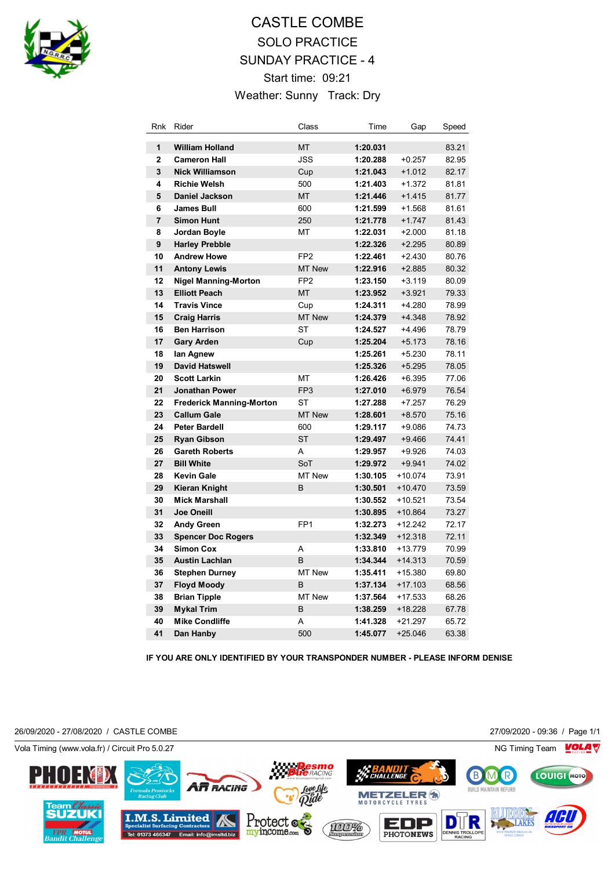

## CASTLE COMBE SOLO PRACTICE SUNDAY PRACTICE - 4 Start time: 09:21 Weather: Sunny Track: Dry

| Rnk            | Rider                           | Class           | Time     | Gap       | Speed |
|----------------|---------------------------------|-----------------|----------|-----------|-------|
| 1              | <b>William Holland</b>          | <b>MT</b>       | 1:20.031 |           | 83.21 |
| $\mathbf{2}$   | <b>Cameron Hall</b>             | <b>JSS</b>      | 1:20.288 | $+0.257$  | 82.95 |
| 3              | <b>Nick Williamson</b>          | Cup             | 1:21.043 | $+1.012$  | 82.17 |
| 4              | <b>Richie Welsh</b>             | 500             | 1:21.403 | $+1.372$  | 81.81 |
| 5              | <b>Daniel Jackson</b>           | <b>MT</b>       | 1:21.446 | $+1.415$  | 81.77 |
| 6              | <b>James Bull</b>               | 600             | 1:21.599 | $+1.568$  | 81.61 |
| $\overline{7}$ | <b>Simon Hunt</b>               | 250             | 1:21.778 | $+1.747$  | 81.43 |
| 8              | Jordan Boyle                    | MT              | 1:22.031 | $+2.000$  | 81.18 |
| 9              | <b>Harley Prebble</b>           |                 | 1:22.326 | $+2.295$  | 80.89 |
| 10             | <b>Andrew Howe</b>              | FP <sub>2</sub> | 1:22.461 | $+2.430$  | 80.76 |
| 11             | <b>Antony Lewis</b>             | <b>MT New</b>   | 1:22.916 | $+2.885$  | 80.32 |
| 12             | <b>Nigel Manning-Morton</b>     | FP <sub>2</sub> | 1:23.150 | $+3.119$  | 80.09 |
| 13             | <b>Elliott Peach</b>            | <b>MT</b>       | 1:23.952 | $+3.921$  | 79.33 |
| 14             | <b>Travis Vince</b>             | Cup             | 1:24.311 | $+4.280$  | 78.99 |
| 15             | <b>Craig Harris</b>             | <b>MT New</b>   | 1:24.379 | $+4.348$  | 78.92 |
| 16             | <b>Ben Harrison</b>             | <b>ST</b>       | 1:24.527 | $+4.496$  | 78.79 |
| 17             | <b>Gary Arden</b>               | Cup             | 1:25.204 | $+5.173$  | 78.16 |
| 18             | lan Agnew                       |                 | 1:25.261 | $+5.230$  | 78.11 |
| 19             | <b>David Hatswell</b>           |                 | 1:25.326 | $+5.295$  | 78.05 |
| 20             | <b>Scott Larkin</b>             | МT              | 1:26.426 | $+6.395$  | 77.06 |
| 21             | <b>Jonathan Power</b>           | FP <sub>3</sub> | 1:27.010 | $+6.979$  | 76.54 |
| 22             | <b>Frederick Manning-Morton</b> | <b>ST</b>       | 1:27.288 | $+7.257$  | 76.29 |
| 23             | <b>Callum Gale</b>              | <b>MT New</b>   | 1:28.601 | $+8.570$  | 75.16 |
| 24             | <b>Peter Bardell</b>            | 600             | 1:29.117 | +9.086    | 74.73 |
| 25             | <b>Ryan Gibson</b>              | <b>ST</b>       | 1:29.497 | $+9.466$  | 74.41 |
| 26             | <b>Gareth Roberts</b>           | A               | 1:29.957 | $+9.926$  | 74.03 |
| 27             | <b>Bill White</b>               | SoT             | 1:29.972 | $+9.941$  | 74.02 |
| 28             | <b>Kevin Gale</b>               | MT New          | 1:30.105 | $+10.074$ | 73.91 |
| 29             | <b>Kieran Knight</b>            | B               | 1:30.501 | $+10.470$ | 73.59 |
| 30             | <b>Mick Marshall</b>            |                 | 1:30.552 | $+10.521$ | 73.54 |
| 31             | <b>Joe Oneill</b>               |                 | 1:30.895 | $+10.864$ | 73.27 |
| 32             | <b>Andy Green</b>               | FP <sub>1</sub> | 1:32.273 | $+12.242$ | 72.17 |
| 33             | <b>Spencer Doc Rogers</b>       |                 | 1:32.349 | $+12.318$ | 72.11 |
| 34             | <b>Simon Cox</b>                | A               | 1:33.810 | $+13.779$ | 70.99 |
| 35             | <b>Austin Lachlan</b>           | B               | 1:34.344 | $+14.313$ | 70.59 |
| 36             | <b>Stephen Durney</b>           | MT New          | 1:35.411 | $+15.380$ | 69.80 |
| 37             | <b>Floyd Moody</b>              | B               | 1:37.134 | $+17.103$ | 68.56 |
| 38             | <b>Brian Tipple</b>             | MT New          | 1:37.564 | $+17.533$ | 68.26 |
| 39             | <b>Mykal Trim</b>               | B               | 1:38.259 | $+18.228$ | 67.78 |
| 40             | <b>Mike Condliffe</b>           | A               | 1:41.328 | $+21.297$ | 65.72 |
| 41             | Dan Hanby                       | 500             | 1:45.077 | $+25.046$ | 63.38 |

**IF YOU ARE ONLY IDENTIFIED BY YOUR TRANSPONDER NUMBER - PLEASE INFORM DENISE**

26/09/2020 - 27/08/2020 / CASTLE COMBE 27/09/2020 - 09:36 / Page 1/1

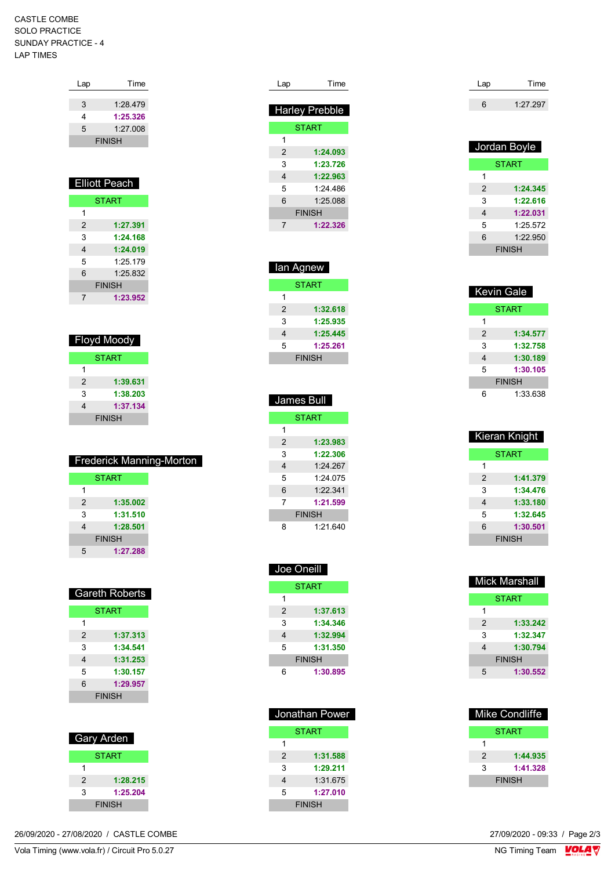## CASTLE COMBE SOLO PRACTICE SUNDAY PRACTICE - 4 LAP TIMES

| Lap | Time                 |
|-----|----------------------|
|     |                      |
| 3   | 1:28.479             |
| 4   | 1:25.326             |
| 5   | 1:27.008             |
|     | <b>FINISH</b>        |
|     |                      |
|     |                      |
|     |                      |
|     |                      |
|     | <b>Elliott Peach</b> |
|     |                      |
|     | <b>START</b>         |
| 1   |                      |
| 2   | 1:27.391             |
| 3   | 1:24.168             |

| 4 | 1:24.019      |
|---|---------------|
| 5 | 1:25.179      |
| 6 | 1.25832       |
|   | <b>FINISH</b> |
|   | 1:23.952      |

| Floyd Moody  |               |  |
|--------------|---------------|--|
| <b>START</b> |               |  |
| 1            |               |  |
| 2            | 1:39.631      |  |
| 3            | 1:38.203      |  |
|              | 1:37.134      |  |
|              | <b>FINISH</b> |  |

| <b>Frederick Manning-Morton</b> |               |  |  |
|---------------------------------|---------------|--|--|
|                                 | <b>START</b>  |  |  |
| 1                               |               |  |  |
| $\mathcal{P}$                   | 1:35.002      |  |  |
| 3                               | 1:31.510      |  |  |
|                                 | 1:28.501      |  |  |
|                                 | <b>FINISH</b> |  |  |
| 5                               | 1:27.288      |  |  |
|                                 |               |  |  |

| <b>Gareth Roberts</b> |               |  |  |
|-----------------------|---------------|--|--|
|                       | <b>START</b>  |  |  |
| 1                     |               |  |  |
| 2                     | 1:37.313      |  |  |
| 3                     | 1:34.541      |  |  |
| 4                     | 1:31.253      |  |  |
| 5                     | 1:30.157      |  |  |
| 6                     | 1:29.957      |  |  |
|                       | <b>FINISH</b> |  |  |

| <b>Gary Arden</b> |              |  |
|-------------------|--------------|--|
|                   | <b>START</b> |  |
|                   |              |  |
| 2                 | 1:28.215     |  |
| 3                 | 1:25.204     |  |
| <b>FINISH</b>     |              |  |

| t Pro 5.0.27           | $\overline{\phantom{a}}$ |
|------------------------|--------------------------|
| $'$ Circuit            | <b>NG</b>                |
| Timing (www.vola.fr) / | Team                     |
| Vola Tim               | , imino                  |
|                        | _____                    |

| Lap            | Time                  |  |
|----------------|-----------------------|--|
|                | <b>Harley Prebble</b> |  |
|                | <b>START</b>          |  |
| 1              |                       |  |
| $\overline{2}$ | 1:24.093              |  |
| 3              | 1:23.726              |  |
| 4              | 1:22.963              |  |
| 5              | 1.24 486              |  |
| 6              | 1.25088               |  |
| <b>FINISH</b>  |                       |  |
| 7              | 1:22.326              |  |
|                |                       |  |
|                |                       |  |

| lan Agnew     |          |  |
|---------------|----------|--|
| <b>START</b>  |          |  |
| 1             |          |  |
| $\mathcal{P}$ | 1:32.618 |  |
| 3             | 1:25.935 |  |
| 4             | 1:25.445 |  |
| 5             | 1:25.261 |  |
| <b>FINISH</b> |          |  |

| <b>James Bull</b> |              |  |  |
|-------------------|--------------|--|--|
|                   | <b>START</b> |  |  |
| 1                 |              |  |  |
| $\mathcal{P}$     | 1:23.983     |  |  |
| 3                 | 1:22.306     |  |  |
| 4                 | 1.24267      |  |  |
| 5                 | 1.24075      |  |  |
| 6                 | 1.22341      |  |  |
| 7                 | 1:21.599     |  |  |
| <b>FINISH</b>     |              |  |  |
| ጸ                 | 1.21640      |  |  |

| Joe Oneill |               |
|------------|---------------|
|            | <b>START</b>  |
| 1          |               |
| 2          | 1:37.613      |
| 3          | 1:34.346      |
| 4          | 1:32.994      |
| 5          | 1:31.350      |
|            | <b>FINISH</b> |
| հ          | 1:30.895      |

| <b>START</b><br>1<br>1:31.588<br>2<br>1:29.211<br>3<br>1:31.675<br>4<br>5<br>1:27.010<br><b>FINISH</b> | Jonathan Power |  |  |
|--------------------------------------------------------------------------------------------------------|----------------|--|--|
|                                                                                                        |                |  |  |
|                                                                                                        |                |  |  |
|                                                                                                        |                |  |  |
|                                                                                                        |                |  |  |
|                                                                                                        |                |  |  |
|                                                                                                        |                |  |  |
|                                                                                                        |                |  |  |

| Time     |
|----------|
| 1:27.297 |
|          |

| Jordan Boyle  |              |  |  |
|---------------|--------------|--|--|
|               | <b>START</b> |  |  |
| 1             |              |  |  |
| 2             | 1:24.345     |  |  |
| 3             | 1:22.616     |  |  |
| 4             | 1:22.031     |  |  |
| 5             | 1:25.572     |  |  |
| 6<br>1:22.950 |              |  |  |
| <b>FINISH</b> |              |  |  |

| <b>Kevin Gale</b> |              |  |
|-------------------|--------------|--|
|                   | <b>START</b> |  |
| 1                 |              |  |
| 2                 | 1:34.577     |  |
| 3                 | 1:32.758     |  |
| 4                 | 1:30.189     |  |
| 5                 | 1:30.105     |  |
| <b>FINISH</b>     |              |  |
| հ                 | 1:33.638     |  |

| Kieran Knight  |              |  |
|----------------|--------------|--|
|                | <b>START</b> |  |
| 1              |              |  |
| $\overline{2}$ | 1:41.379     |  |
| 3              | 1:34.476     |  |
| 4              | 1:33.180     |  |
| 5              | 1:32.645     |  |
| 1:30.501<br>6  |              |  |
| <b>FINISH</b>  |              |  |

| <b>Mick Marshall</b> |          |
|----------------------|----------|
| <b>START</b>         |          |
| 1                    |          |
| 2                    | 1:33.242 |
| 3                    | 1:32.347 |
| 4                    | 1:30.794 |
| <b>FINISH</b>        |          |
| 5                    | 1:30.552 |

| Mike Condliffe |          |  |
|----------------|----------|--|
| <b>START</b>   |          |  |
|                |          |  |
| 2              | 1:44.935 |  |
| 1:41.328<br>3  |          |  |
| <b>FINISH</b>  |          |  |